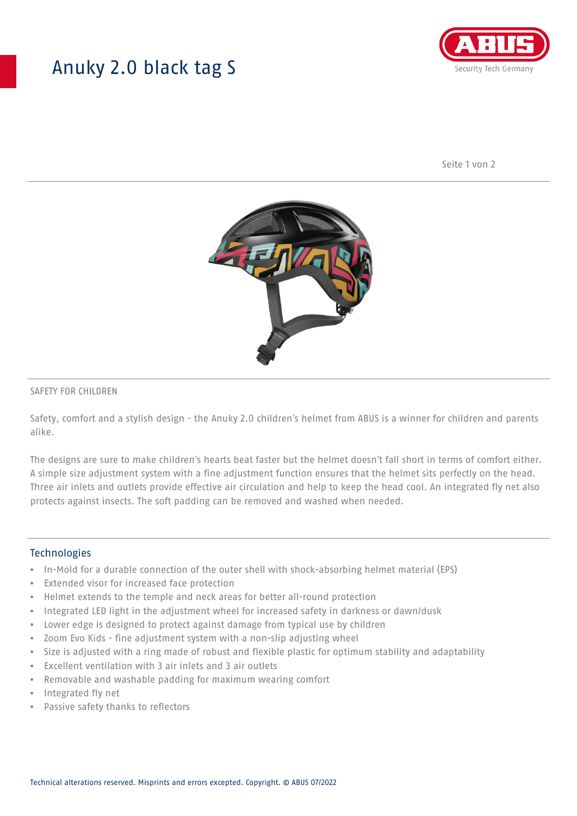## Anuky 2.0 black tag S



Seite 1 von 2



### SAFETY FOR CHILDREN

Safety, comfort and a stylish design - the Anuky 2.0 children's helmet from ABUS is a winner for children and parents alike.

The designs are sure to make children's hearts beat faster but the helmet doesn't fall short in terms of comfort either. A simple size adjustment system with a fine adjustment function ensures that the helmet sits perfectly on the head. Three air inlets and outlets provide effective air circulation and help to keep the head cool. An integrated fly net also protects against insects. The soft padding can be removed and washed when needed.

#### **Technologies**

- In-Mold for a durable connection of the outer shell with shock-absorbing helmet material (EPS)
- Extended visor for increased face protection
- Helmet extends to the temple and neck areas for better all-round protection
- Integrated LED light in the adjustment wheel for increased safety in darkness or dawn/dusk
- Lower edge is designed to protect against damage from typical use by children
- Zoom Evo Kids fine adjustment system with a non-slip adjusting wheel
- Size is adjusted with a ring made of robust and flexible plastic for optimum stability and adaptability
- Excellent ventilation with 3 air inlets and 3 air outlets
- Removable and washable padding for maximum wearing comfort
- Integrated fly net
- Passive safety thanks to reflectors